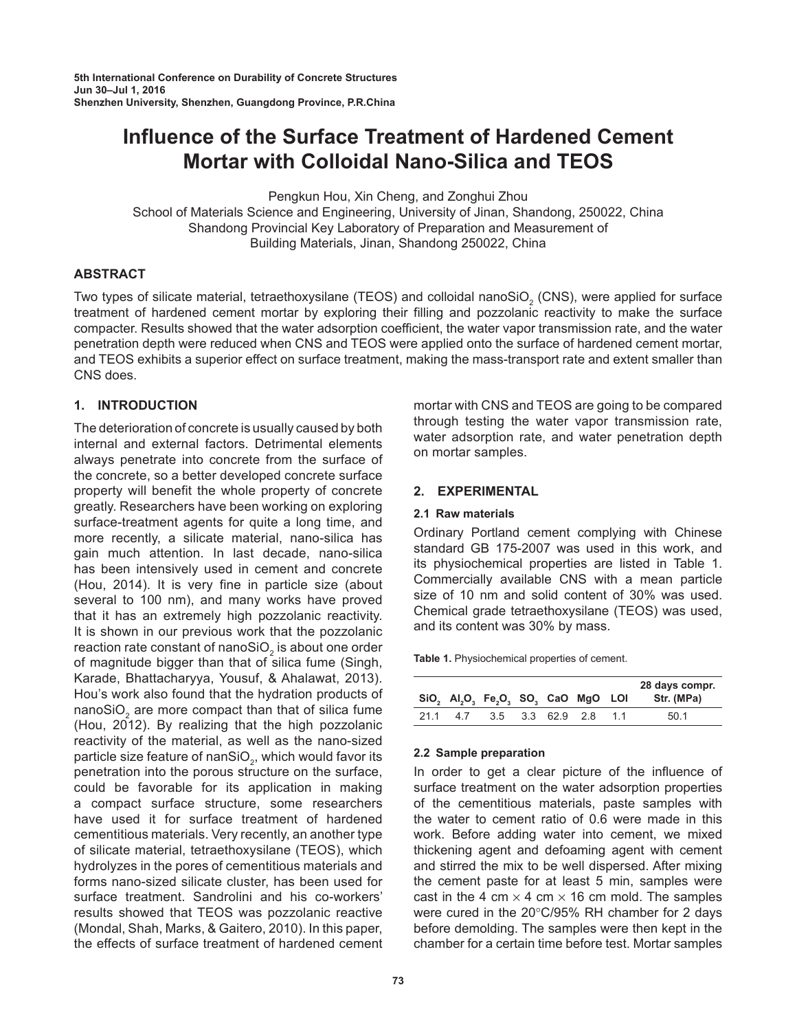# **Influence of the Surface Treatment of Hardened Cement Mortar with Colloidal Nano-Silica and TEOS**

Pengkun Hou, Xin Cheng, and Zonghui Zhou

School of Materials Science and Engineering, University of Jinan, Shandong, 250022, China Shandong Provincial Key Laboratory of Preparation and Measurement of Building Materials, Jinan, Shandong 250022, China

# **ABSTRACT**

Two types of silicate material, tetraethoxysilane (TEOS) and colloidal nanoSiO<sub>2</sub> (CNS), were applied for surface treatment of hardened cement mortar by exploring their filling and pozzolanic reactivity to make the surface compacter. Results showed that the water adsorption coefficient, the water vapor transmission rate, and the water penetration depth were reduced when CNS and TEOS were applied onto the surface of hardened cement mortar, and TEOS exhibits a superior effect on surface treatment, making the mass-transport rate and extent smaller than CNS does.

# **1. INTRODUCTION**

The deterioration of concrete is usually caused by both internal and external factors. Detrimental elements always penetrate into concrete from the surface of the concrete, so a better developed concrete surface property will benefit the whole property of concrete greatly. Researchers have been working on exploring surface-treatment agents for quite a long time, and more recently, a silicate material, nano-silica has gain much attention. In last decade, nano-silica has been intensively used in cement and concrete (Hou, 2014). It is very fine in particle size (about several to 100 nm), and many works have proved that it has an extremely high pozzolanic reactivity. It is shown in our previous work that the pozzolanic reaction rate constant of nanoSiO $_2$  is about one order of magnitude bigger than that of silica fume (Singh, Karade, Bhattacharyya, Yousuf, & Ahalawat, 2013). Hou's work also found that the hydration products of nanoSiO<sub>2</sub> are more compact than that of silica fume  $(Hou, 2012)$ . By realizing that the high pozzolanic reactivity of the material, as well as the nano-sized particle size feature of nanSiO $_{\textrm{\tiny{2}}}$ , which would favor its penetration into the porous structure on the surface, could be favorable for its application in making a compact surface structure, some researchers have used it for surface treatment of hardened cementitious materials. Very recently, an another type of silicate material, tetraethoxysilane (TEOS), which hydrolyzes in the pores of cementitious materials and forms nano-sized silicate cluster, has been used for surface treatment. Sandrolini and his co-workers' results showed that TEOS was pozzolanic reactive (Mondal, Shah, Marks, & Gaitero, 2010). In this paper, the effects of surface treatment of hardened cement

mortar with CNS and TEOS are going to be compared through testing the water vapor transmission rate, water adsorption rate, and water penetration depth on mortar samples.

# **2. EXPERIMENTAL**

# **2.1 Raw materials**

Ordinary Portland cement complying with Chinese standard GB 175-2007 was used in this work, and its physiochemical properties are listed in Table 1. Commercially available CNS with a mean particle size of 10 nm and solid content of 30% was used. Chemical grade tetraethoxysilane (TEOS) was used, and its content was 30% by mass.

**Table 1.** Physiochemical properties of cement.

|     |     | SiO, Al,O, Fe,O, SO, CaO MgO LOI |              |    | 28 days compr.<br>Str. (MPa) |
|-----|-----|----------------------------------|--------------|----|------------------------------|
| 211 | 4.7 | 3.5                              | 3.3 62.9 2.8 | 11 | 50.1                         |

## **2.2 Sample preparation**

In order to get a clear picture of the influence of surface treatment on the water adsorption properties of the cementitious materials, paste samples with the water to cement ratio of 0.6 were made in this work. Before adding water into cement, we mixed thickening agent and defoaming agent with cement and stirred the mix to be well dispersed. After mixing the cement paste for at least 5 min, samples were cast in the 4 cm  $\times$  4 cm  $\times$  16 cm mold. The samples were cured in the 20°C/95% RH chamber for 2 days before demolding. The samples were then kept in the chamber for a certain time before test. Mortar samples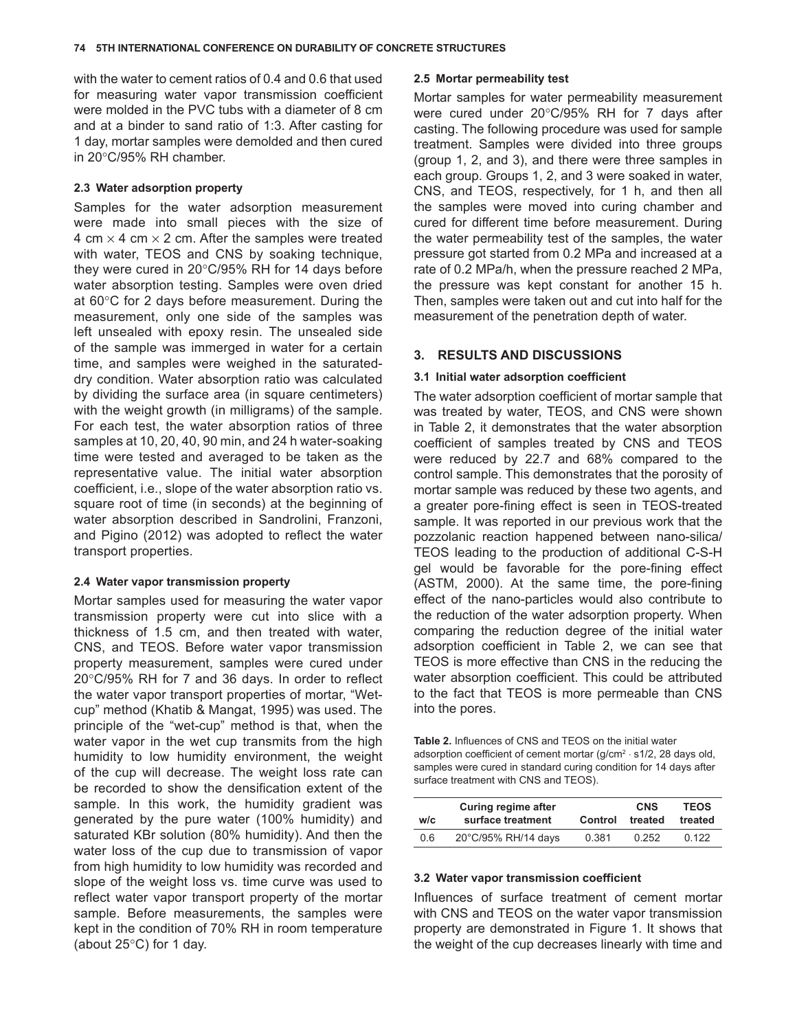<span id="page-1-0"></span>with the water to cement ratios of 0.4 and 0.6 that used for measuring water vapor transmission coefficient were molded in the PVC tubs with a diameter of 8 cm and at a binder to sand ratio of 1:3. After casting for 1 day, mortar samples were demolded and then cured in 20°C/95% RH chamber.

#### **2.3 Water adsorption property**

Samples for the water adsorption measurement were made into small pieces with the size of 4 cm  $\times$  4 cm  $\times$  2 cm. After the samples were treated with water, TEOS and CNS by soaking technique, they were cured in 20°C/95% RH for 14 days before water absorption testing. Samples were oven dried at 60°C for 2 days before measurement. During the measurement, only one side of the samples was left unsealed with epoxy resin. The unsealed side of the sample was immerged in water for a certain time, and samples were weighed in the saturateddry condition. Water absorption ratio was calculated by dividing the surface area (in square centimeters) with the weight growth (in milligrams) of the sample. For each test, the water absorption ratios of three samples at 10, 20, 40, 90 min, and 24 h water-soaking time were tested and averaged to be taken as the representative value. The initial water absorption coefficient, i.e., slope of the water absorption ratio vs. square root of time (in seconds) at the beginning of water absorption described in Sandrolini, Franzoni, and Pigino (2012) was adopted to reflect the water transport properties.

## **2.4 Water vapor transmission property**

Mortar samples used for measuring the water vapor transmission property were cut into slice with a thickness of 1.5 cm, and then treated with water, CNS, and TEOS. Before water vapor transmission property measurement, samples were cured under 20°C/95% RH for 7 and 36 days. In order to reflect the water vapor transport properties of mortar, "Wetcup" method (Khatib & Mangat, 1995) was used. The principle of the "wet-cup" method is that, when the water vapor in the wet cup transmits from the high humidity to low humidity environment, the weight of the cup will decrease. The weight loss rate can be recorded to show the densification extent of the sample. In this work, the humidity gradient was generated by the pure water (100% humidity) and saturated KBr solution (80% humidity). And then the water loss of the cup due to transmission of vapor from high humidity to low humidity was recorded and slope of the weight loss vs. time curve was used to reflect water vapor transport property of the mortar sample. Before measurements, the samples were kept in the condition of 70% RH in room temperature (about 25°C) for 1 day.

#### **2.5 Mortar permeability test**

Mortar samples for water permeability measurement were cured under 20°C/95% RH for 7 days after casting. The following procedure was used for sample treatment. Samples were divided into three groups (group 1, 2, and 3), and there were three samples in each group. Groups 1, 2, and 3 were soaked in water, CNS, and TEOS, respectively, for 1 h, and then all the samples were moved into curing chamber and cured for different time before measurement. During the water permeability test of the samples, the water pressure got started from 0.2 MPa and increased at a rate of 0.2 MPa/h, when the pressure reached 2 MPa, the pressure was kept constant for another 15 h. Then, samples were taken out and cut into half for the measurement of the penetration depth of water.

## **3. RESULTS AND DISCUSSIONS**

## **3.1 Initial water adsorption coefficient**

The water adsorption coefficient of mortar sample that was treated by water, TEOS, and CNS were shown in Table 2, it demonstrates that the water absorption coefficient of samples treated by CNS and TEOS were reduced by 22.7 and 68% compared to the control sample. This demonstrates that the porosity of mortar sample was reduced by these two agents, and a greater pore-fining effect is seen in TEOS-treated sample. It was reported in our previous work that the pozzolanic reaction happened between nano-silica/ TEOS leading to the production of additional C-S-H gel would be favorable for the pore-fining effect (ASTM, 2000). At the same time, the pore-fining effect of the nano-particles would also contribute to the reduction of the water adsorption property. When comparing the reduction degree of the initial water adsorption coefficient in Table 2, we can see that TEOS is more effective than CNS in the reducing the water absorption coefficient. This could be attributed to the fact that TEOS is more permeable than CNS into the pores.

**Table 2.** Influences of CNS and TEOS on the initial water adsorption coefficient of cement mortar (g/cm<sup>2</sup> ⋅ s1/2, 28 days old, samples were cured in standard curing condition for 14 days after surface treatment with CNS and TEOS).

| w/c | <b>Curing regime after</b><br>surface treatment | Control | <b>CNS</b><br>treated | <b>TEOS</b><br>treated |
|-----|-------------------------------------------------|---------|-----------------------|------------------------|
| 0.6 | 20°C/95% RH/14 days                             | 0.381   | 0.252                 | 0.122                  |

#### **3.2 Water vapor transmission coefficient**

Influences of surface treatment of cement mortar with CNS and TEOS on the water vapor transmission property are demonstrated in [Figure](#page-2-0) 1. It shows that the weight of the cup decreases linearly with time and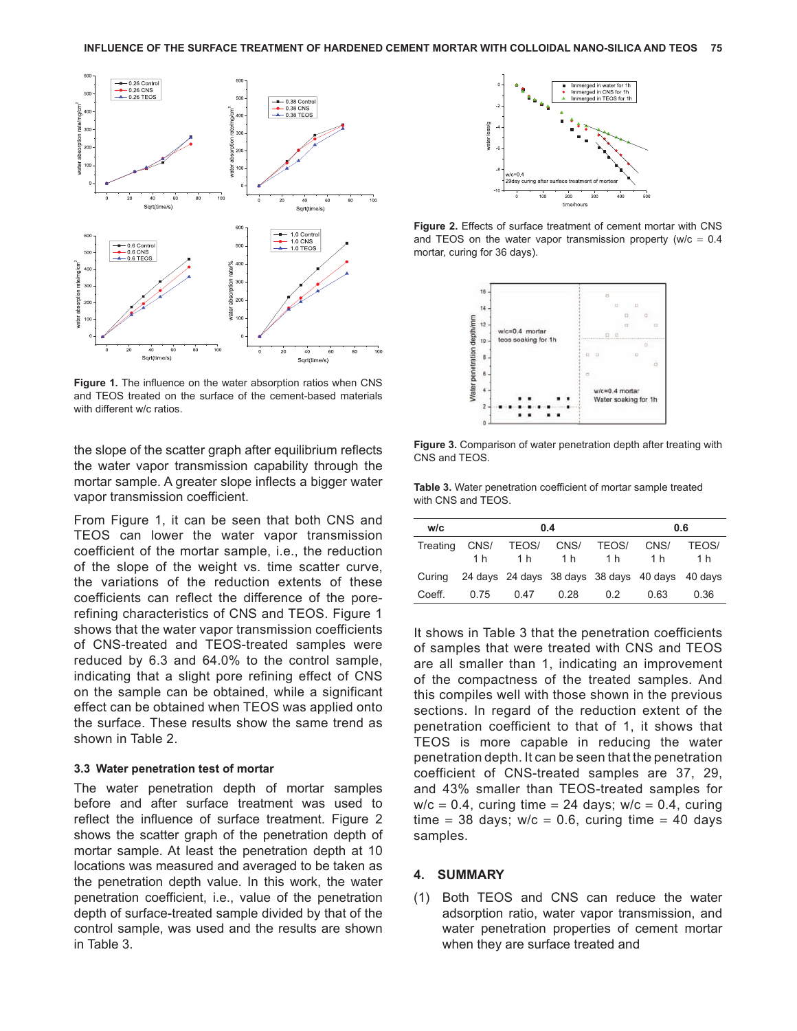<span id="page-2-0"></span>

**Figure 1.** The influence on the water absorption ratios when CNS and TEOS treated on the surface of the cement-based materials with different w/c ratios.

the slope of the scatter graph after equilibrium reflects the water vapor transmission capability through the mortar sample. A greater slope inflects a bigger water vapor transmission coefficient.

From Figure 1, it can be seen that both CNS and TEOS can lower the water vapor transmission coefficient of the mortar sample, i.e., the reduction of the slope of the weight vs. time scatter curve, the variations of the reduction extents of these coefficients can reflect the difference of the porerefining characteristics of CNS and TEOS. Figure 1 shows that the water vapor transmission coefficients of CNS-treated and TEOS-treated samples were reduced by 6.3 and 64.0% to the control sample, indicating that a slight pore refining effect of CNS on the sample can be obtained, while a significant effect can be obtained when TEOS was applied onto the surface. These results show the same trend as shown in [Table](#page-1-0) 2.

#### **3.3 Water penetration test of mortar**

The water penetration depth of mortar samples before and after surface treatment was used to reflect the influence of surface treatment. Figure 2 shows the scatter graph of the penetration depth of mortar sample. At least the penetration depth at 10 locations was measured and averaged to be taken as the penetration depth value. In this work, the water penetration coefficient, i.e., value of the penetration depth of surface-treated sample divided by that of the control sample, was used and the results are shown in Table 3.



**Figure 2.** Effects of surface treatment of cement mortar with CNS and TEOS on the water vapor transmission property ( $w/c = 0.4$ mortar, curing for 36 days).



**Figure 3.** Comparison of water penetration depth after treating with CNS and TEOS.

**Table 3.** Water penetration coefficient of mortar sample treated with CNS and TEOS.

| w/c      |      | 0.4                    | 0.6  |              |                                                        |                     |
|----------|------|------------------------|------|--------------|--------------------------------------------------------|---------------------|
| Treating | 1 h  | CNS/ TEOS/ CNS/<br>1 h | 1 h  | TEOS/<br>1 h | CNS/<br>1 h                                            | <b>TEOS/</b><br>1 h |
|          |      |                        |      |              | Curing 24 days 24 days 38 days 38 days 40 days 40 days |                     |
| Coeff.   | 0.75 | 0.47                   | 0.28 | 0.2          | 0 63                                                   | 0.36                |

It shows in Table 3 that the penetration coefficients of samples that were treated with CNS and TEOS are all smaller than 1, indicating an improvement of the compactness of the treated samples. And this compiles well with those shown in the previous sections. In regard of the reduction extent of the penetration coefficient to that of 1, it shows that TEOS is more capable in reducing the water penetration depth. It can be seen that the penetration coefficient of CNS-treated samples are 37, 29, and 43% smaller than TEOS-treated samples for  $w/c = 0.4$ , curing time = 24 days;  $w/c = 0.4$ , curing time = 38 days;  $w/c = 0.6$ , curing time = 40 days samples.

## **4. SUMMARY**

(1) Both TEOS and CNS can reduce the water adsorption ratio, water vapor transmission, and water penetration properties of cement mortar when they are surface treated and